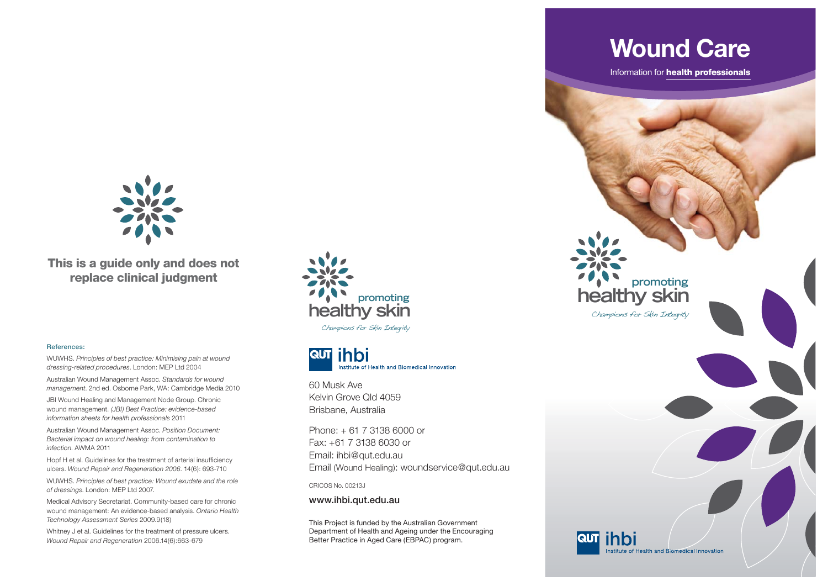

**This is a guide only and does not replace clinical judgment**

## **References:**

WUWHS. *Principles of best practice: Minimising pain at wound dressing-related procedures*. London: MEP Ltd 2004 Australian Wound Management Assoc. *Standards for wound* 

*management*. 2nd ed. Osborne Park, WA: Cambridge Media 2010 JBI Wound Healing and Management Node Group. Chronic

wound management. *(JBI) Best Practice: evidence-based information sheets for health professionals* 2011

Australian Wound Management Assoc. *Position Document: Bacterial impact on wound healing: from contamination to infection*. AWMA 2011

Hopf H et al. Guidelines for the treatment of arterial insufficiency ulcers. *Wound Repair and Regeneration 2006*. 14(6): 693-710

WUWHS. *Principles of best practice: Wound exudate and the role of dressings*. London: MEP Ltd 2007.

Medical Advisory Secretariat. Community-based care for chronic wound management: An evidence-based analysis. *Ontario Health Technology Assessment Series* 2009.9(18)

Whitney J et al. Guidelines for the treatment of pressure ulcers. *Wound Repair and Regeneration* 2006.14(6):663-679



Champions for Skin Integrity



60 Musk Ave Kelvin Grove Qld 4059Brisbane, Australia

Phone: + 61 7 3138 6000 or Fax: +61 7 3138 6030 or Email: ihbi@qut.edu.au Email (Wound Healing): woundservice@qut.edu.au

CRICOS No. 00213J

**www.ihbi.qut.edu.au**

This Project is funded by the Australian Government Department of Health and Ageing under the Encouraging Better Practice in Aged Care (EBPAC) program.

**healthy skin promoting**

Champions for Skin Integrity

Information for **health professionals**

**Wound Care**